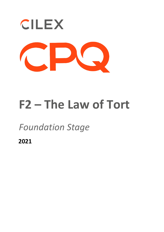

# **F2 – The Law of Tort**

## *Foundation Stage*

**2021**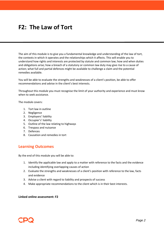## **F2: The Law of Tort**

The aim of this module is to give you a fundamental knowledge and understanding of the law of tort, the contexts in which it operates and the relationships which it affects. This will enable you to understand how rights and interests are protected by statute and common law; how and when duties and obligations arise; how a breach of a statutory or common law duty may give rise to a cause of action; what full and partial defences might be available to challenge a claim and the potential remedies available.

You will be able to evaluate the strengths and weaknesses of a client's position, be able to offer recommendations and advise in the client's best interests.

Throughout this module you must recognise the limit of your authority and experience and must know when to seek assistance.

The module covers:

- 1. Tort law in outline
- 2. Negligence
- 3. Employers' liability
- 4. Occupier's' liability
- 5. Outline of the law relating to highways
- 6. Trespass and nuisance
- 7. Defences
- 8. Causation and remedies in tort

### **Learning Outcomes**

By the end of this module you will be able to:

- 1. Identify the applicable law and apply to a matter with reference to the facts and the evidence including identifying overlapping causes of action
- 2. Evaluate the strengths and weaknesses of a client's position with reference to the law, facts and evidence
- 3. Advise a client with regard to liability and prospects of success
- 4. Make appropriate recommendations to the client which is in their best interests.

#### **Linked online assessment: F2**

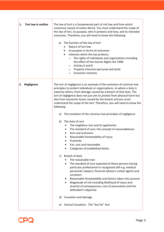| <b>Tort law in outline</b><br>1. | The law of tort is a fundamental part of civil law and from which<br>numerous causes of action derive. You must understand the scope of<br>the law of tort, its purpose, who it protects and how, and its intended<br>outcomes. Therefore, you will need to know the following:<br>The function of the law of tort<br>a)<br>Nature of tort law<br>Its purpose in terms of outcomes<br>$\bullet$<br>Interests which the law protects:<br>The rights of individuals and organisations including<br>$\circ$<br>the effect of the Human Rights Act 1998:<br>Articles 6 and 8<br>$\circ$<br>Property interests (personal and land)<br>O<br><b>Economic interests</b><br>O                                                                                                                             |
|----------------------------------|--------------------------------------------------------------------------------------------------------------------------------------------------------------------------------------------------------------------------------------------------------------------------------------------------------------------------------------------------------------------------------------------------------------------------------------------------------------------------------------------------------------------------------------------------------------------------------------------------------------------------------------------------------------------------------------------------------------------------------------------------------------------------------------------------|
| 2.<br><b>Negligence</b>          | The tort of negligence is an example of the evolution of common law<br>principles to protect individuals or organisations, to whom a duty is<br>owed by others, from damage caused by a breach of that duty. The<br>tort of negligence does not just aim to protect from physical harm but<br>also from economic losses caused by the breach and you must<br>understand the scope of the tort. Therefore, you will need to know the<br>following:<br>a) The evolution of the common law principles of negligence<br>b) The duty of care<br>The neighbour test and its application<br>The standard of care: the concept of reasonableness<br>$\bullet$<br>Acts and omissions<br>Reasonable foreseeability of injury<br>Proximity<br>Fair, just and reasonable<br>Categories of established duties |
|                                  | Breach of duty<br>c)<br>The reasonable man<br>The standard of care expected of those persons having<br>particular professional or recognised skill e.g. medical<br>personnel; lawyers; financial advisors; estate agents and<br>surveyors<br>Reasonable foreseeability and factors taken into account<br>Magnitude of risk including likelihood of injury and<br>severity of consequences; cost of precautions and the<br>defendant's objective                                                                                                                                                                                                                                                                                                                                                  |
|                                  | d) Causation and damage<br>e) Factual Causation - The "but for" test                                                                                                                                                                                                                                                                                                                                                                                                                                                                                                                                                                                                                                                                                                                             |
|                                  |                                                                                                                                                                                                                                                                                                                                                                                                                                                                                                                                                                                                                                                                                                                                                                                                  |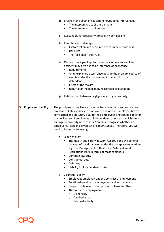|                                   | f)<br>Breaks in the chain of causation: novus actus interveniens<br>The intervening act of the claimant<br>The intervening act of another<br>Reasonable foreseeability: foresight not hindsight<br>g)<br>h) Remoteness of damage<br>Factors taken into account to determine remoteness<br>Rescuers<br>$\bullet$<br>The "egg-shell" skull rule<br>$\bullet$<br>i)<br>Outline of res ipsa loquitur: how the circumstances of an<br>accident may give rise to an inference of negligence<br>Requirements<br>An unexplained occurrence outside the ordinary course of<br>$\bullet$<br>events under the management or control of the<br>defendant<br>Effect of the maxim<br>$\bullet$<br>Rebuttal of the maxim by reasonable explanation |
|-----------------------------------|-------------------------------------------------------------------------------------------------------------------------------------------------------------------------------------------------------------------------------------------------------------------------------------------------------------------------------------------------------------------------------------------------------------------------------------------------------------------------------------------------------------------------------------------------------------------------------------------------------------------------------------------------------------------------------------------------------------------------------------|
|                                   | Relationship between negligence and cybersecurity<br>j)                                                                                                                                                                                                                                                                                                                                                                                                                                                                                                                                                                                                                                                                             |
| <b>Employers' liability</b><br>3. | The principles of negligence form the basis of understanding how an<br>employer's liability arises to employees and others. Employers have a<br>contractual and statutory duty to their employees and can be liable for<br>the negligence of employees or independent contractors which causes<br>damage to property or to others. You must recognise whether an<br>employer is liable in a given set of circumstances. Therefore, you will<br>need to know the following:                                                                                                                                                                                                                                                          |
|                                   | a) Scope of duty<br>• The Health and Safety at Work Act 1974 and the general<br>concept of the duty owed under the workplace regulations<br>e.g. the Management of Health and Safety at Work<br>Regulations 1999 in terms of reasonableness<br>Common law duty<br>$\bullet$<br>Contractual duty<br><b>Defences</b><br>Liability for independent contractors<br>b) Vicarious liability<br>Employees employed under a contract of employment<br>Relationships akin to employment and worker status<br>Scope of duty owed by employer for harm to others<br>The course of employment<br>$\bullet$<br>Dishonesty<br>$\circ$<br>Disobedience<br>$\circ$<br>Criminal activity<br>$\circ$                                                  |

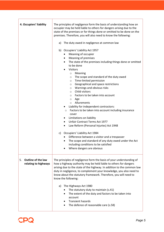| 4. Occupiers' liability                                 | The principles of negligence form the basis of understanding how an<br>occupier may be held liable to others for dangers arising due to the<br>state of the premises or for things done or omitted to be done on the<br>premises. Therefore, you will also need to know the following:<br>a) The duty owed in negligence at common law<br>b) Occupiers' Liability Act 1957<br>Meaning of occupier<br>Meaning of premises<br>$\bullet$<br>The state of the premises including things done or omitted<br>$\bullet$<br>to be done<br><b>Visitors</b><br>Meaning<br>$\circ$<br>The scope and standard of the duty owed<br>$\circ$<br>Time-limited permission<br>$\circ$<br>Geographical and space restrictions<br>$\circ$<br>Warnings and obvious risks<br>$\circ$<br>Child visitors<br>$\circ$<br>Factors to be taken into account<br>$\circ$<br>Age<br>$\circ$<br>Allurements<br>$\circ$<br>Liability for independent contractors: |
|---------------------------------------------------------|----------------------------------------------------------------------------------------------------------------------------------------------------------------------------------------------------------------------------------------------------------------------------------------------------------------------------------------------------------------------------------------------------------------------------------------------------------------------------------------------------------------------------------------------------------------------------------------------------------------------------------------------------------------------------------------------------------------------------------------------------------------------------------------------------------------------------------------------------------------------------------------------------------------------------------|
|                                                         | Factors to be taken into account including insurance<br>$\circ$<br>cover<br>Limitations on liability<br>$\bullet$<br>Unfair Contract Terms Act 1977<br>$\bullet$<br>Law Reform (Personal Injuries) Act 1948<br>$\bullet$<br>c) Occupiers' Liability Act 1984                                                                                                                                                                                                                                                                                                                                                                                                                                                                                                                                                                                                                                                                     |
|                                                         | Difference between a visitor and a trespasser<br>The scope and standard of any duty owed under the Act<br>including conditions to be satisfied<br>Where dangers are obvious                                                                                                                                                                                                                                                                                                                                                                                                                                                                                                                                                                                                                                                                                                                                                      |
| 5.<br><b>Outline of the law</b><br>relating to highways | The principles of negligence form the basis of your understanding of<br>how a highway authority may be held liable to others for dangers<br>arising due to the state of the highway. In addition to the common law<br>duty in negligence, to complement your knowledge, you also need to<br>know about the statutory framework. Therefore, you will need to<br>know the following:                                                                                                                                                                                                                                                                                                                                                                                                                                                                                                                                               |
|                                                         | The Highways Act 1980<br>a)<br>The statutory duty to maintain (s.41)<br>The extent of the duty and factors to be taken into<br>account<br><b>Transient hazards</b><br>٠<br>The defence of reasonable care (s.58)                                                                                                                                                                                                                                                                                                                                                                                                                                                                                                                                                                                                                                                                                                                 |

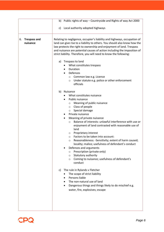|                                       | b) Public rights of way - Countryside and Rights of way Act 2000                                                                                                                                                                                                                                                                                                                                                                                                                                                                                                                                                                                                                                                                                                                                                                                                                                                                     |
|---------------------------------------|--------------------------------------------------------------------------------------------------------------------------------------------------------------------------------------------------------------------------------------------------------------------------------------------------------------------------------------------------------------------------------------------------------------------------------------------------------------------------------------------------------------------------------------------------------------------------------------------------------------------------------------------------------------------------------------------------------------------------------------------------------------------------------------------------------------------------------------------------------------------------------------------------------------------------------------|
|                                       | c) Local authority adopted highways                                                                                                                                                                                                                                                                                                                                                                                                                                                                                                                                                                                                                                                                                                                                                                                                                                                                                                  |
| <b>Trespass and</b><br>6.<br>nuisance | Relating to negligence, occupier's liability and highways, occupation of<br>land can give rise to a liability to others. You should also know how the<br>law protects the right to ownership and enjoyment of land. Trespass<br>and nuisance are potential causes of action including the imposition of<br>strict liability. Therefore, you will need to know the following:<br>Trespass to land<br>a)<br>What constitutes trespass<br>Duration<br>Defences<br>$\bullet$<br>Common law e.g. Licence<br>$\circ$<br>Under statute e.g. police or other enforcement<br>O<br>officials                                                                                                                                                                                                                                                                                                                                                   |
|                                       | b)<br>Nuisance<br>What constitutes nuisance<br>Public nuisance<br>Meaning of public nuisance<br>$\circ$<br>o Class of people<br>Special damage<br>$\circ$<br>Private nuisance<br>Meaning of private nuisance<br>Balance of interests: unlawful interference with use or<br>$\circ$<br>enjoyment of land contrasted with reasonable use of<br>land<br>Proprietary interest<br>O<br>Factors to be taken into account:<br>$\circ$<br>Reasonableness: -Sensitivity; extent of harm caused;<br>O<br>locality; malice; usefulness of defendant's conduct<br>Defences and arguments<br>Prescription (private only)<br>O<br>Statutory authority<br>O<br>Coming to nuisance; usefulness of defendant's<br>O<br>conduct<br>The rule in Rylands v Fletcher<br>C)<br>The scope of strict liability<br>Persons liable<br>The non-natural use of land<br>Dangerous things and things likely to do mischief e.g.<br>water, fire, explosives; escape |